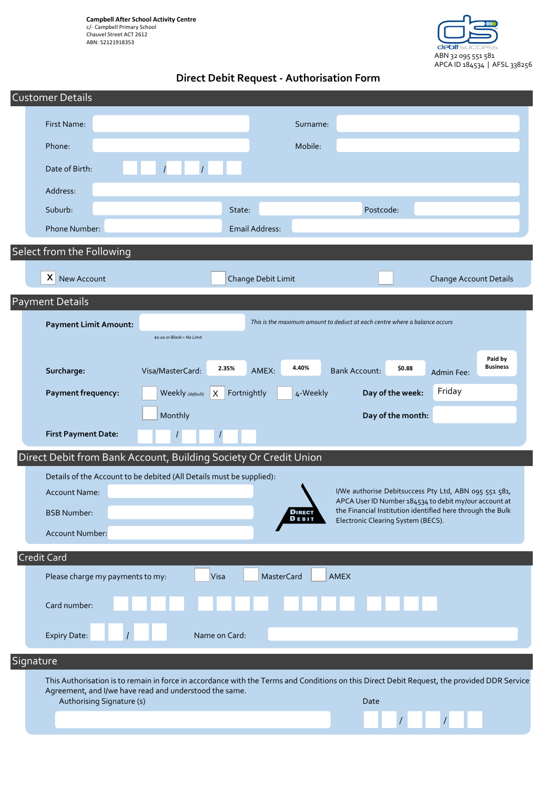**Campbell After School Activity Centre** c/- Campbell Primary School Chauvel Street ACT 2612 ABN: 52121918353



# **Direct Debit Request - Authorisation Form**

|                                                                  | <b>Customer Details</b>                                                                                                                                                                               |                            |                         |                                                                                                                |                                                 |
|------------------------------------------------------------------|-------------------------------------------------------------------------------------------------------------------------------------------------------------------------------------------------------|----------------------------|-------------------------|----------------------------------------------------------------------------------------------------------------|-------------------------------------------------|
|                                                                  | First Name:                                                                                                                                                                                           |                            | Surname:                |                                                                                                                |                                                 |
|                                                                  | Phone:                                                                                                                                                                                                |                            | Mobile:                 |                                                                                                                |                                                 |
|                                                                  | Date of Birth:                                                                                                                                                                                        | $\overline{I}$             |                         |                                                                                                                |                                                 |
|                                                                  | Address:                                                                                                                                                                                              |                            |                         |                                                                                                                |                                                 |
|                                                                  | Suburb:                                                                                                                                                                                               | State:                     |                         | Postcode:                                                                                                      |                                                 |
|                                                                  | Phone Number:                                                                                                                                                                                         |                            | <b>Email Address:</b>   |                                                                                                                |                                                 |
|                                                                  | Select from the Following                                                                                                                                                                             |                            |                         |                                                                                                                |                                                 |
|                                                                  | X<br>New Account                                                                                                                                                                                      |                            | Change Debit Limit      |                                                                                                                | <b>Change Account Details</b>                   |
| <b>Payment Details</b>                                           |                                                                                                                                                                                                       |                            |                         |                                                                                                                |                                                 |
|                                                                  | <b>Payment Limit Amount:</b>                                                                                                                                                                          |                            |                         | This is the maximum amount to deduct at each centre where a balance occurs                                     |                                                 |
|                                                                  |                                                                                                                                                                                                       | \$0.00 or Blank = No Limit |                         |                                                                                                                |                                                 |
|                                                                  | Surcharge:                                                                                                                                                                                            | 2.35%<br>Visa/MasterCard:  | 4.40%<br>AMEX:          | \$0.88<br><b>Bank Account:</b>                                                                                 | Paid by<br><b>Business</b><br><b>Admin Fee:</b> |
|                                                                  | Payment frequency:                                                                                                                                                                                    | Weekly (default)<br>X      | Fortnightly<br>4-Weekly | Day of the week:                                                                                               | Friday                                          |
|                                                                  |                                                                                                                                                                                                       | Monthly                    |                         | Day of the month:                                                                                              |                                                 |
|                                                                  | <b>First Payment Date:</b>                                                                                                                                                                            |                            |                         |                                                                                                                |                                                 |
| Direct Debit from Bank Account, Building Society Or Credit Union |                                                                                                                                                                                                       |                            |                         |                                                                                                                |                                                 |
|                                                                  | Details of the Account to be debited (All Details must be supplied):                                                                                                                                  |                            |                         |                                                                                                                |                                                 |
|                                                                  | <b>Account Name:</b>                                                                                                                                                                                  |                            |                         | I/We authorise Debitsuccess Pty Ltd, ABN 095 551 581,<br>APCA User ID Number 184534 to debit my/our account at |                                                 |
|                                                                  | <b>BSB Number:</b>                                                                                                                                                                                    |                            | <b>DIREC</b><br>DEBIT   | the Financial Institution identified here through the Bulk<br>Electronic Clearing System (BECS).               |                                                 |
|                                                                  | Account Number:                                                                                                                                                                                       |                            |                         |                                                                                                                |                                                 |
|                                                                  | <b>Credit Card</b><br>Visa<br>Please charge my payments to my:<br><b>MasterCard</b><br><b>AMEX</b>                                                                                                    |                            |                         |                                                                                                                |                                                 |
|                                                                  |                                                                                                                                                                                                       |                            |                         |                                                                                                                |                                                 |
|                                                                  | Card number:                                                                                                                                                                                          |                            |                         |                                                                                                                |                                                 |
|                                                                  | Expiry Date:                                                                                                                                                                                          | Name on Card:              |                         |                                                                                                                |                                                 |
| Signature                                                        |                                                                                                                                                                                                       |                            |                         |                                                                                                                |                                                 |
|                                                                  | This Authorisation is to remain in force in accordance with the Terms and Conditions on this Direct Debit Request, the provided DDR Service<br>Agreement, and I/we have read and understood the same. |                            |                         |                                                                                                                |                                                 |
|                                                                  | Authorising Signature (s)                                                                                                                                                                             |                            |                         | Date                                                                                                           |                                                 |
|                                                                  |                                                                                                                                                                                                       |                            |                         |                                                                                                                |                                                 |
|                                                                  |                                                                                                                                                                                                       |                            |                         |                                                                                                                |                                                 |